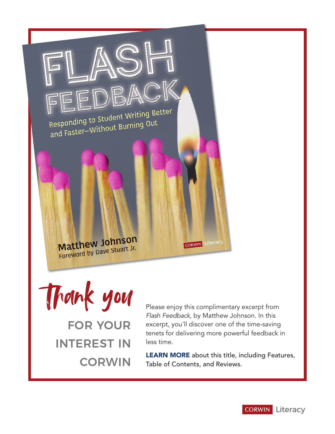

Thank you FOR YOUR INTEREST IN **CORWIN** 

Please enjoy this complimentary excerpt from *Flash Feedback,* by Matthew Johnson. In this excerpt, you'll discover one of the time-saving tenets for delivering more powerful feedback in less time.

[LEARN MORE](https://us.corwin.com/en-us/nam/flash-feedback-grades-6-12/book266175) about this title, including Features, Table of Contents, and Reviews.

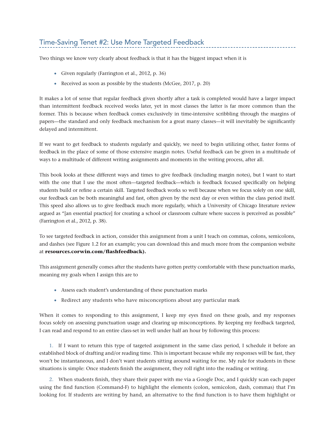# Time-Saving Tenet #2: Use More Targeted Feedback

Two things we know very clearly about feedback is that it has the biggest impact when it is

- Given regularly (Farrington et al., 2012, p. 36)
- Received as soon as possible by the students (McGee, 2017, p. 20)

It makes a lot of sense that regular feedback given shortly after a task is completed would have a larger impact than intermittent feedback received weeks later, yet in most classes the latter is far more common than the former. This is because when feedback comes exclusively in time-intensive scribbling through the margins of papers—the standard and only feedback mechanism for a great many classes—it will inevitably be significantly delayed and intermittent.

If we want to get feedback to students regularly and quickly, we need to begin utilizing other, faster forms of feedback in the place of some of those extensive margin notes. Useful feedback can be given in a multitude of ways to a multitude of different writing assignments and moments in the writing process, after all.

This book looks at these different ways and times to give feedback (including margin notes), but I want to start with the one that I use the most often—targeted feedback—which is feedback focused specifically on helping students build or refine a certain skill. Targeted feedback works so well because when we focus solely on one skill, our feedback can be both meaningful and fast, often given by the next day or even within the class period itself. This speed also allows us to give feedback much more regularly, which a University of Chicago literature review argued as "[an essential practice] for creating a school or classroom culture where success is perceived as possible" (Farrington et al., 2012, p. 38).

To see targeted feedback in action, consider this assignment from a unit I teach on commas, colons, semicolons, and dashes (see Figure 1.2 for an example; you can download this and much more from the companion website at **resources.corwin.com/flashfeedback).**

This assignment generally comes after the students have gotten pretty comfortable with these punctuation marks, meaning my goals when I assign this are to

- Assess each student's understanding of these punctuation marks
- Redirect any students who have misconceptions about any particular mark

When it comes to responding to this assignment, I keep my eyes fixed on these goals, and my responses focus solely on assessing punctuation usage and clearing up misconceptions. By keeping my feedback targeted, I can read and respond to an entire class-set in well under half an hour by following this process:

1. If I want to return this type of targeted assignment in the same class period, I schedule it before an established block of drafting and/or reading time. This is important because while my responses will be fast, they won't be instantaneous, and I don't want students sitting around waiting for me. My rule for students in these situations is simple: Once students finish the assignment, they roll right into the reading or writing.

2. When students finish, they share their paper with me via a Google Doc, and I quickly scan each paper using the find function (Command-F) to highlight the elements (colon, semicolon, dash, commas) that I'm looking for. If students are writing by hand, an alternative to the find function is to have them highlight or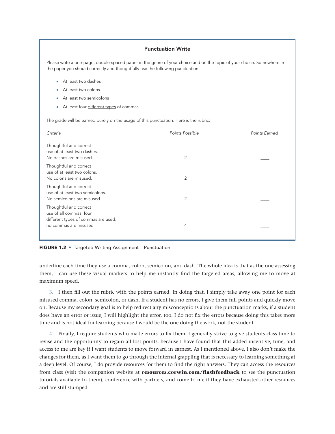### Punctuation Write

Please write a one-page, double-spaced paper in the genre of your choice and on the topic of your choice. Somewhere in the paper you should correctly and thoughtfully use the following punctuation:

- • At least two dashes
- At least two colons
- At least two semicolons
- • At least four different types of commas

The grade will be earned purely on the usage of this punctuation. Here is the rubric:

| Criteria                                                                                                          | Points Possible | Points Earned |
|-------------------------------------------------------------------------------------------------------------------|-----------------|---------------|
| Thoughtful and correct<br>use of at least two dashes.<br>No dashes are misused.                                   | 2               |               |
| Thoughtful and correct<br>use of at least two colons.<br>No colons are misused.                                   | 2               |               |
| Thoughtful and correct<br>use of at least two semicolons.<br>No semicolons are misused.                           | 2               |               |
| Thoughtful and correct<br>use of all commas; four<br>different types of commas are used;<br>no commas are misused | 4               |               |
|                                                                                                                   |                 |               |

#### FIGURE 1.2 • Targeted Writing Assignment—Punctuation

underline each time they use a comma, colon, semicolon, and dash. The whole idea is that as the one assessing them, I can use these visual markers to help me instantly find the targeted areas, allowing me to move at maximum speed.

3. I then fill out the rubric with the points earned. In doing that, I simply take away one point for each misused comma, colon, semicolon, or dash. If a student has no errors, I give them full points and quickly move on. Because my secondary goal is to help redirect any misconceptions about the punctuation marks, if a student does have an error or issue, I will highlight the error, too. I do not fix the errors because doing this takes more time and is not ideal for learning because I would be the one doing the work, not the student.

4. Finally, I require students who made errors to fix them. I generally strive to give students class time to revise and the opportunity to regain all lost points, because I have found that this added incentive, time, and access to me are key if I want students to move forward in earnest. As I mentioned above, I also don't make the changes for them, as I want them to go through the internal grappling that is necessary to learning something at a deep level. Of course, I do provide resources for them to find the right answers. They can access the resources from class (visit the companion website at **resources.corwin.com/flashfeedback** to see the punctuation tutorials available to them), conference with partners, and come to me if they have exhausted other resources and are still stumped.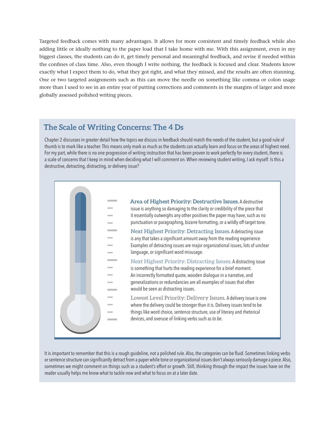Targeted feedback comes with many advantages. It allows for more consistent and timely feedback while also adding little or ideally nothing to the paper load that I take home with me. With this assignment, even in my biggest classes, the students can do it, get timely personal and meaningful feedback, and revise if needed within the confines of class time. Also, even though I write nothing, the feedback is focused and clear. Students know exactly what I expect them to do, what they got right, and what they missed, and the results are often stunning. One or two targeted assignments such as this can move the needle on something like comma or colon usage more than I used to see in an entire year of putting corrections and comments in the margins of larger and more globally assessed polished writing pieces.

## **The Scale of Writing Concerns: The 4 Ds**

Chapter 2 discusses in greater detail how the topics we discuss in feedback should match the needs of the student, but a good rule of thumb is to mark like a teacher. This means only mark as much as the students can actually learn and focus on the areas of highest need. For my part, while there is no one progression of writing instruction that has been proven to work perfectly for every student, there is a scale of concerns that I keep in mind when deciding what I will comment on. When reviewing student writing, I ask myself: Is this a destructive, detracting, distracting, or delivery issue?



It is important to remember that this is a rough guideline, not a polished rule. Also, the categories can be fluid. Sometimes linking verbs or sentence structure can significantly detract from a paper while tone or organizational issues don't always seriously damage a piece. Also, sometimes we might comment on things such as a student's effort or growth. Still, thinking through the impact the issues have on the reader usually helps me know what to tackle now and what to focus on at a later date.